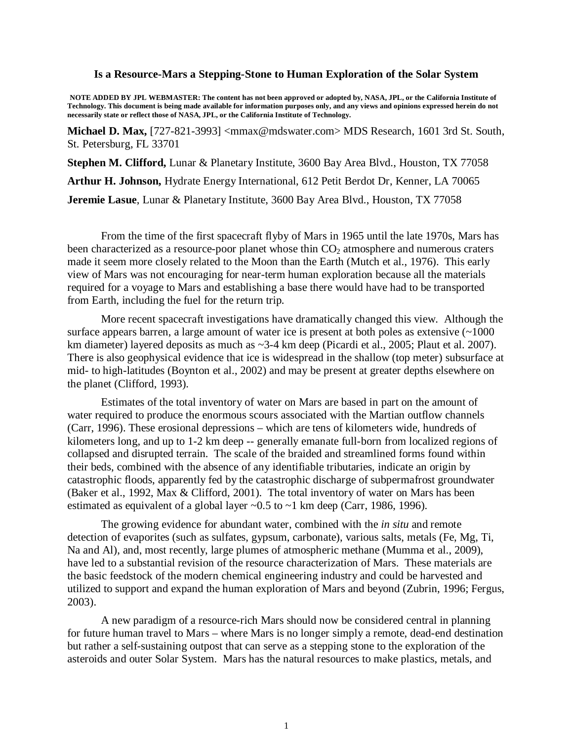#### **Is a Resource-Mars a Stepping-Stone to Human Exploration of the Solar System**

**NOTE ADDED BY JPL WEBMASTER: The content has not been approved or adopted by, NASA, JPL, or the California Institute of Technology. This document is being made available for information purposes only, and any views and opinions expressed herein do not necessarily state or reflect those of NASA, JPL, or the California Institute of Technology.**

**Michael D. Max,** [727-821-3993] <mmax@mdswater.com> MDS Research, 1601 3rd St. South, St. Petersburg, FL 33701

**Stephen M. Clifford,** Lunar & Planetary Institute, 3600 Bay Area Blvd., Houston, TX 77058

**Arthur H. Johnson,** Hydrate Energy International, 612 Petit Berdot Dr, Kenner, LA 70065

**Jeremie Lasue**, Lunar & Planetary Institute, 3600 Bay Area Blvd., Houston, TX 77058

From the time of the first spacecraft flyby of Mars in 1965 until the late 1970s, Mars has been characterized as a resource-poor planet whose thin  $CO<sub>2</sub>$  atmosphere and numerous craters made it seem more closely related to the Moon than the Earth (Mutch et al., 1976). This early view of Mars was not encouraging for near-term human exploration because all the materials required for a voyage to Mars and establishing a base there would have had to be transported from Earth, including the fuel for the return trip.

More recent spacecraft investigations have dramatically changed this view. Although the surface appears barren, a large amount of water ice is present at both poles as extensive  $(\sim 1000$ km diameter) layered deposits as much as ~3-4 km deep (Picardi et al., 2005; Plaut et al. 2007). There is also geophysical evidence that ice is widespread in the shallow (top meter) subsurface at mid- to high-latitudes (Boynton et al., 2002) and may be present at greater depths elsewhere on the planet (Clifford, 1993).

Estimates of the total inventory of water on Mars are based in part on the amount of water required to produce the enormous scours associated with the Martian outflow channels (Carr, 1996). These erosional depressions – which are tens of kilometers wide, hundreds of kilometers long, and up to 1-2 km deep -- generally emanate full-born from localized regions of collapsed and disrupted terrain. The scale of the braided and streamlined forms found within their beds, combined with the absence of any identifiable tributaries, indicate an origin by catastrophic floods, apparently fed by the catastrophic discharge of subpermafrost groundwater (Baker et al., 1992, Max & Clifford, 2001). The total inventory of water on Mars has been estimated as equivalent of a global layer  $\sim 0.5$  to  $\sim 1$  km deep (Carr, 1986, 1996).

The growing evidence for abundant water, combined with the *in situ* and remote detection of evaporites (such as sulfates, gypsum, carbonate), various salts, metals (Fe, Mg, Ti, Na and Al), and, most recently, large plumes of atmospheric methane (Mumma et al., 2009), have led to a substantial revision of the resource characterization of Mars. These materials are the basic feedstock of the modern chemical engineering industry and could be harvested and utilized to support and expand the human exploration of Mars and beyond (Zubrin, 1996; Fergus, 2003).

A new paradigm of a resource-rich Mars should now be considered central in planning for future human travel to Mars – where Mars is no longer simply a remote, dead-end destination but rather a self-sustaining outpost that can serve as a stepping stone to the exploration of the asteroids and outer Solar System. Mars has the natural resources to make plastics, metals, and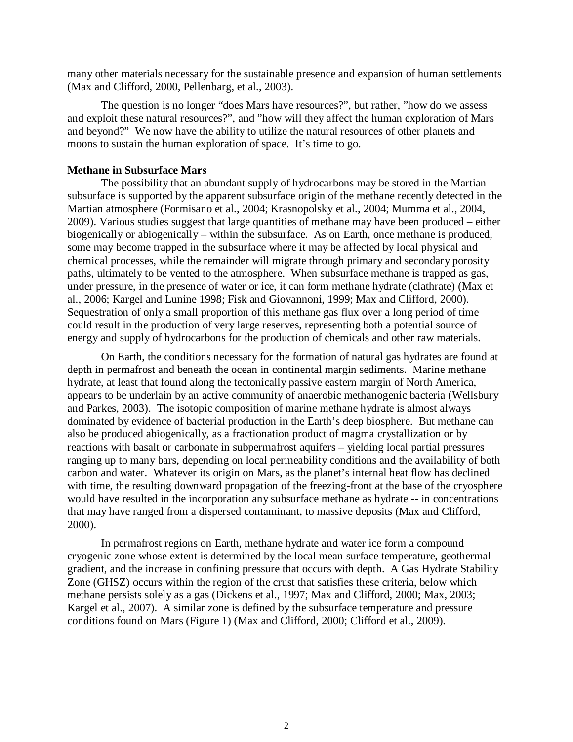many other materials necessary for the sustainable presence and expansion of human settlements (Max and Clifford, 2000, Pellenbarg, et al., 2003).

The question is no longer "does Mars have resources?", but rather, "how do we assess and exploit these natural resources?", and "how will they affect the human exploration of Mars and beyond?" We now have the ability to utilize the natural resources of other planets and moons to sustain the human exploration of space. It's time to go.

### **Methane in Subsurface Mars**

The possibility that an abundant supply of hydrocarbons may be stored in the Martian subsurface is supported by the apparent subsurface origin of the methane recently detected in the Martian atmosphere (Formisano et al., 2004; Krasnopolsky et al., 2004; Mumma et al., 2004, 2009). Various studies suggest that large quantities of methane may have been produced – either biogenically or abiogenically – within the subsurface. As on Earth, once methane is produced, some may become trapped in the subsurface where it may be affected by local physical and chemical processes, while the remainder will migrate through primary and secondary porosity paths, ultimately to be vented to the atmosphere. When subsurface methane is trapped as gas, under pressure, in the presence of water or ice, it can form methane hydrate (clathrate) (Max et al., 2006; Kargel and Lunine 1998; Fisk and Giovannoni, 1999; Max and Clifford, 2000). Sequestration of only a small proportion of this methane gas flux over a long period of time could result in the production of very large reserves, representing both a potential source of energy and supply of hydrocarbons for the production of chemicals and other raw materials.

On Earth, the conditions necessary for the formation of natural gas hydrates are found at depth in permafrost and beneath the ocean in continental margin sediments. Marine methane hydrate, at least that found along the tectonically passive eastern margin of North America, appears to be underlain by an active community of anaerobic methanogenic bacteria (Wellsbury and Parkes, 2003). The isotopic composition of marine methane hydrate is almost always dominated by evidence of bacterial production in the Earth's deep biosphere. But methane can also be produced abiogenically, as a fractionation product of magma crystallization or by reactions with basalt or carbonate in subpermafrost aquifers – yielding local partial pressures ranging up to many bars, depending on local permeability conditions and the availability of both carbon and water. Whatever its origin on Mars, as the planet's internal heat flow has declined with time, the resulting downward propagation of the freezing-front at the base of the cryosphere would have resulted in the incorporation any subsurface methane as hydrate -- in concentrations that may have ranged from a dispersed contaminant, to massive deposits (Max and Clifford, 2000).

In permafrost regions on Earth, methane hydrate and water ice form a compound cryogenic zone whose extent is determined by the local mean surface temperature, geothermal gradient, and the increase in confining pressure that occurs with depth. A Gas Hydrate Stability Zone (GHSZ) occurs within the region of the crust that satisfies these criteria, below which methane persists solely as a gas (Dickens et al., 1997; Max and Clifford, 2000; Max, 2003; Kargel et al., 2007). A similar zone is defined by the subsurface temperature and pressure conditions found on Mars (Figure 1) (Max and Clifford, 2000; Clifford et al., 2009).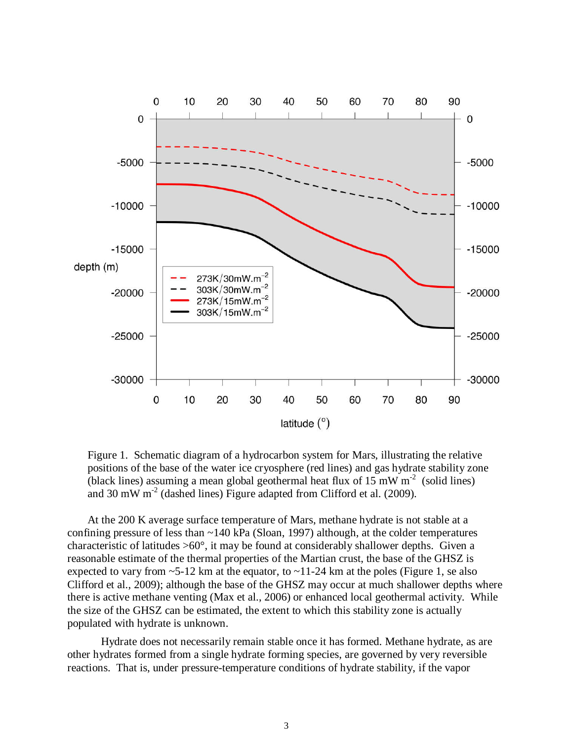

Figure 1. Schematic diagram of a hydrocarbon system for Mars, illustrating the relative positions of the base of the water ice cryosphere (red lines) and gas hydrate stability zone (black lines) assuming a mean global geothermal heat flux of 15 mW  $m^{-2}$  (solid lines) and 30 mW  $m<sup>-2</sup>$  (dashed lines) Figure adapted from Clifford et al. (2009).

 At the 200 K average surface temperature of Mars, methane hydrate is not stable at a confining pressure of less than ~140 kPa (Sloan, 1997) although, at the colder temperatures characteristic of latitudes  $>60^{\circ}$ , it may be found at considerably shallower depths. Given a reasonable estimate of the thermal properties of the Martian crust, the base of the GHSZ is expected to vary from  $\sim$  5-12 km at the equator, to  $\sim$  11-24 km at the poles (Figure 1, se also Clifford et al., 2009); although the base of the GHSZ may occur at much shallower depths where there is active methane venting (Max et al., 2006) or enhanced local geothermal activity. While the size of the GHSZ can be estimated, the extent to which this stability zone is actually populated with hydrate is unknown.

Hydrate does not necessarily remain stable once it has formed. Methane hydrate, as are other hydrates formed from a single hydrate forming species, are governed by very reversible reactions. That is, under pressure-temperature conditions of hydrate stability, if the vapor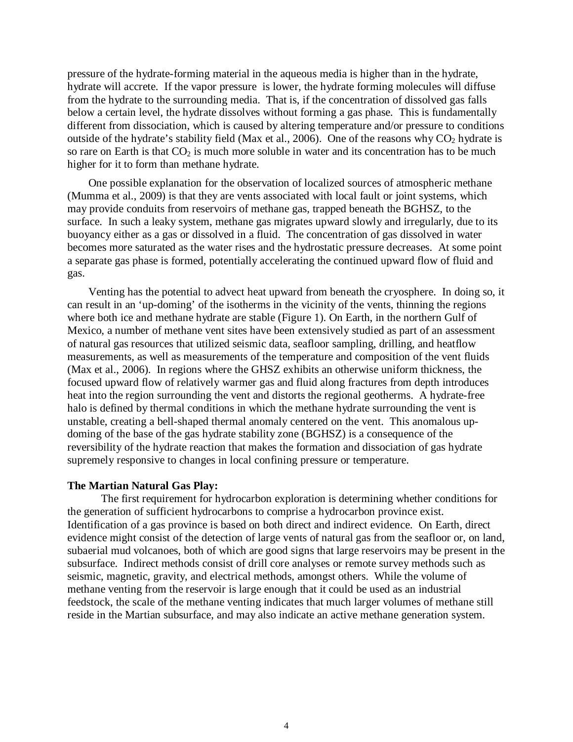pressure of the hydrate-forming material in the aqueous media is higher than in the hydrate, hydrate will accrete. If the vapor pressure is lower, the hydrate forming molecules will diffuse from the hydrate to the surrounding media. That is, if the concentration of dissolved gas falls below a certain level, the hydrate dissolves without forming a gas phase. This is fundamentally different from dissociation, which is caused by altering temperature and/or pressure to conditions outside of the hydrate's stability field (Max et al., 2006). One of the reasons why  $CO<sub>2</sub>$  hydrate is so rare on Earth is that  $CO<sub>2</sub>$  is much more soluble in water and its concentration has to be much higher for it to form than methane hydrate.

One possible explanation for the observation of localized sources of atmospheric methane (Mumma et al., 2009) is that they are vents associated with local fault or joint systems, which may provide conduits from reservoirs of methane gas, trapped beneath the BGHSZ, to the surface. In such a leaky system, methane gas migrates upward slowly and irregularly, due to its buoyancy either as a gas or dissolved in a fluid. The concentration of gas dissolved in water becomes more saturated as the water rises and the hydrostatic pressure decreases. At some point a separate gas phase is formed, potentially accelerating the continued upward flow of fluid and gas.

Venting has the potential to advect heat upward from beneath the cryosphere. In doing so, it can result in an 'up-doming' of the isotherms in the vicinity of the vents, thinning the regions where both ice and methane hydrate are stable (Figure 1). On Earth, in the northern Gulf of Mexico, a number of methane vent sites have been extensively studied as part of an assessment of natural gas resources that utilized seismic data, seafloor sampling, drilling, and heatflow measurements, as well as measurements of the temperature and composition of the vent fluids (Max et al., 2006). In regions where the GHSZ exhibits an otherwise uniform thickness, the focused upward flow of relatively warmer gas and fluid along fractures from depth introduces heat into the region surrounding the vent and distorts the regional geotherms. A hydrate-free halo is defined by thermal conditions in which the methane hydrate surrounding the vent is unstable, creating a bell-shaped thermal anomaly centered on the vent. This anomalous updoming of the base of the gas hydrate stability zone (BGHSZ) is a consequence of the reversibility of the hydrate reaction that makes the formation and dissociation of gas hydrate supremely responsive to changes in local confining pressure or temperature.

### **The Martian Natural Gas Play:**

The first requirement for hydrocarbon exploration is determining whether conditions for the generation of sufficient hydrocarbons to comprise a hydrocarbon province exist. Identification of a gas province is based on both direct and indirect evidence. On Earth, direct evidence might consist of the detection of large vents of natural gas from the seafloor or, on land, subaerial mud volcanoes, both of which are good signs that large reservoirs may be present in the subsurface. Indirect methods consist of drill core analyses or remote survey methods such as seismic, magnetic, gravity, and electrical methods, amongst others. While the volume of methane venting from the reservoir is large enough that it could be used as an industrial feedstock, the scale of the methane venting indicates that much larger volumes of methane still reside in the Martian subsurface, and may also indicate an active methane generation system.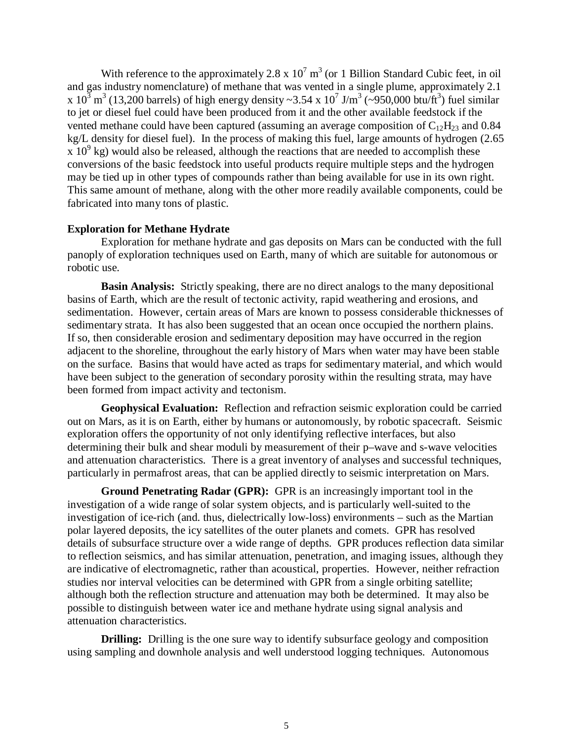With reference to the approximately  $2.8 \times 10^7 \text{ m}^3$  (or 1 Billion Standard Cubic feet, in oil and gas industry nomenclature) of methane that was vented in a single plume, approximately 2.1 x  $10^3$  m<sup>3</sup> (13,200 barrels) of high energy density ~3.54 x  $10^7$  J/m<sup>3</sup> (~950,000 btu/ft<sup>3</sup>) fuel similar to jet or diesel fuel could have been produced from it and the other available feedstock if the vented methane could have been captured (assuming an average composition of  $C_{12}H_{23}$  and 0.84 kg/L density for diesel fuel). In the process of making this fuel, large amounts of hydrogen (2.65  $\frac{x}{10^9}$  kg) would also be released, although the reactions that are needed to accomplish these conversions of the basic feedstock into useful products require multiple steps and the hydrogen may be tied up in other types of compounds rather than being available for use in its own right. This same amount of methane, along with the other more readily available components, could be fabricated into many tons of plastic.

## **Exploration for Methane Hydrate**

Exploration for methane hydrate and gas deposits on Mars can be conducted with the full panoply of exploration techniques used on Earth, many of which are suitable for autonomous or robotic use.

 **Basin Analysis:** Strictly speaking, there are no direct analogs to the many depositional basins of Earth, which are the result of tectonic activity, rapid weathering and erosions, and sedimentation. However, certain areas of Mars are known to possess considerable thicknesses of sedimentary strata. It has also been suggested that an ocean once occupied the northern plains. If so, then considerable erosion and sedimentary deposition may have occurred in the region adjacent to the shoreline, throughout the early history of Mars when water may have been stable on the surface. Basins that would have acted as traps for sedimentary material, and which would have been subject to the generation of secondary porosity within the resulting strata, may have been formed from impact activity and tectonism.

 **Geophysical Evaluation:** Reflection and refraction seismic exploration could be carried out on Mars, as it is on Earth, either by humans or autonomously, by robotic spacecraft. Seismic exploration offers the opportunity of not only identifying reflective interfaces, but also determining their bulk and shear moduli by measurement of their p–wave and s-wave velocities and attenuation characteristics. There is a great inventory of analyses and successful techniques, particularly in permafrost areas, that can be applied directly to seismic interpretation on Mars.

 **Ground Penetrating Radar (GPR):** GPR is an increasingly important tool in the investigation of a wide range of solar system objects, and is particularly well-suited to the investigation of ice-rich (and. thus, dielectrically low-loss) environments – such as the Martian polar layered deposits, the icy satellites of the outer planets and comets. GPR has resolved details of subsurface structure over a wide range of depths. GPR produces reflection data similar to reflection seismics, and has similar attenuation, penetration, and imaging issues, although they are indicative of electromagnetic, rather than acoustical, properties. However, neither refraction studies nor interval velocities can be determined with GPR from a single orbiting satellite; although both the reflection structure and attenuation may both be determined. It may also be possible to distinguish between water ice and methane hydrate using signal analysis and attenuation characteristics.

**Drilling:** Drilling is the one sure way to identify subsurface geology and composition using sampling and downhole analysis and well understood logging techniques. Autonomous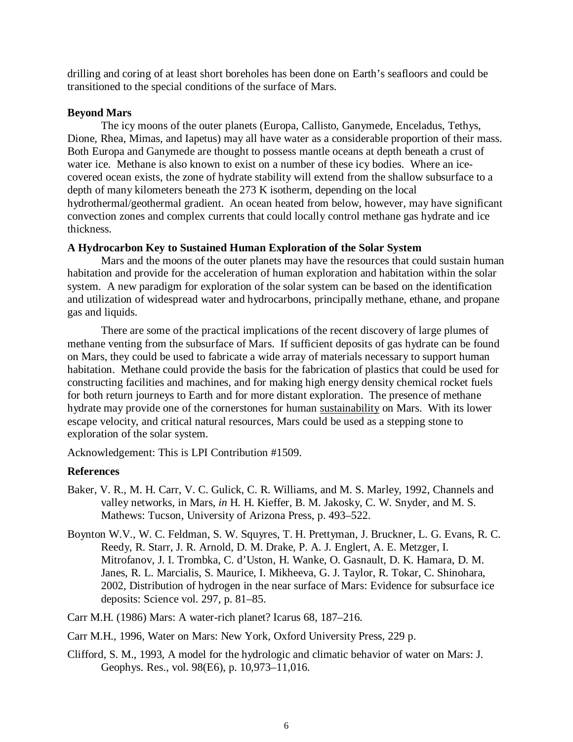drilling and coring of at least short boreholes has been done on Earth's seafloors and could be transitioned to the special conditions of the surface of Mars.

# **Beyond Mars**

The icy moons of the outer planets (Europa, Callisto, Ganymede, Enceladus, Tethys, Dione, Rhea, Mimas, and Iapetus) may all have water as a considerable proportion of their mass. Both Europa and Ganymede are thought to possess mantle oceans at depth beneath a crust of water ice. Methane is also known to exist on a number of these icy bodies. Where an icecovered ocean exists, the zone of hydrate stability will extend from the shallow subsurface to a depth of many kilometers beneath the 273 K isotherm, depending on the local hydrothermal/geothermal gradient. An ocean heated from below, however, may have significant convection zones and complex currents that could locally control methane gas hydrate and ice thickness.

## **A Hydrocarbon Key to Sustained Human Exploration of the Solar System**

Mars and the moons of the outer planets may have the resources that could sustain human habitation and provide for the acceleration of human exploration and habitation within the solar system. A new paradigm for exploration of the solar system can be based on the identification and utilization of widespread water and hydrocarbons, principally methane, ethane, and propane gas and liquids.

There are some of the practical implications of the recent discovery of large plumes of methane venting from the subsurface of Mars. If sufficient deposits of gas hydrate can be found on Mars, they could be used to fabricate a wide array of materials necessary to support human habitation. Methane could provide the basis for the fabrication of plastics that could be used for constructing facilities and machines, and for making high energy density chemical rocket fuels for both return journeys to Earth and for more distant exploration. The presence of methane hydrate may provide one of the cornerstones for human sustainability on Mars. With its lower escape velocity, and critical natural resources, Mars could be used as a stepping stone to exploration of the solar system.

Acknowledgement: This is LPI Contribution #1509.

# **References**

- Baker, V. R., M. H. Carr, V. C. Gulick, C. R. Williams, and M. S. Marley, 1992, Channels and valley networks, in Mars, *in* H. H. Kieffer, B. M. Jakosky, C. W. Snyder, and M. S. Mathews: Tucson, University of Arizona Press, p. 493–522.
- Boynton W.V., W. C. Feldman, S. W. Squyres, T. H. Prettyman, J. Bruckner, L. G. Evans, R. C. Reedy, R. Starr, J. R. Arnold, D. M. Drake, P. A. J. Englert, A. E. Metzger, I. Mitrofanov, J. I. Trombka, C. d'Uston, H. Wanke, O. Gasnault, D. K. Hamara, D. M. Janes, R. L. Marcialis, S. Maurice, I. Mikheeva, G. J. Taylor, R. Tokar, C. Shinohara, 2002, Distribution of hydrogen in the near surface of Mars: Evidence for subsurface ice deposits: Science vol. 297, p. 81–85.
- Carr M.H. (1986) Mars: A water-rich planet? Icarus 68, 187–216.
- Carr M.H., 1996, Water on Mars: New York, Oxford University Press, 229 p.
- Clifford, S. M., 1993, A model for the hydrologic and climatic behavior of water on Mars: J. Geophys. Res., vol. 98(E6), p. 10,973–11,016.